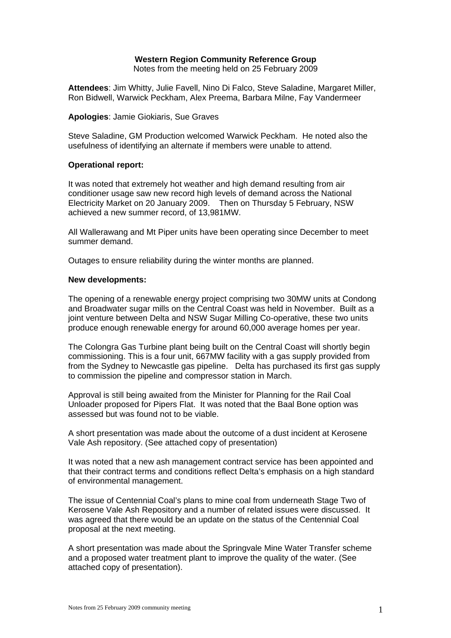# **Western Region Community Reference Group**

Notes from the meeting held on 25 February 2009

**Attendees**: Jim Whitty, Julie Favell, Nino Di Falco, Steve Saladine, Margaret Miller, Ron Bidwell, Warwick Peckham, Alex Preema, Barbara Milne, Fay Vandermeer

### **Apologies**: Jamie Giokiaris, Sue Graves

Steve Saladine, GM Production welcomed Warwick Peckham. He noted also the usefulness of identifying an alternate if members were unable to attend.

## **Operational report:**

It was noted that extremely hot weather and high demand resulting from air conditioner usage saw new record high levels of demand across the National Electricity Market on 20 January 2009. Then on Thursday 5 February, NSW achieved a new summer record, of 13,981MW.

All Wallerawang and Mt Piper units have been operating since December to meet summer demand.

Outages to ensure reliability during the winter months are planned.

#### **New developments:**

The opening of a renewable energy project comprising two 30MW units at Condong and Broadwater sugar mills on the Central Coast was held in November. Built as a joint venture between Delta and NSW Sugar Milling Co-operative, these two units produce enough renewable energy for around 60,000 average homes per year.

The Colongra Gas Turbine plant being built on the Central Coast will shortly begin commissioning. This is a four unit, 667MW facility with a gas supply provided from from the Sydney to Newcastle gas pipeline. Delta has purchased its first gas supply to commission the pipeline and compressor station in March.

Approval is still being awaited from the Minister for Planning for the Rail Coal Unloader proposed for Pipers Flat. It was noted that the Baal Bone option was assessed but was found not to be viable.

A short presentation was made about the outcome of a dust incident at Kerosene Vale Ash repository. (See attached copy of presentation)

It was noted that a new ash management contract service has been appointed and that their contract terms and conditions reflect Delta's emphasis on a high standard of environmental management.

The issue of Centennial Coal's plans to mine coal from underneath Stage Two of Kerosene Vale Ash Repository and a number of related issues were discussed. It was agreed that there would be an update on the status of the Centennial Coal proposal at the next meeting.

A short presentation was made about the Springvale Mine Water Transfer scheme and a proposed water treatment plant to improve the quality of the water. (See attached copy of presentation).